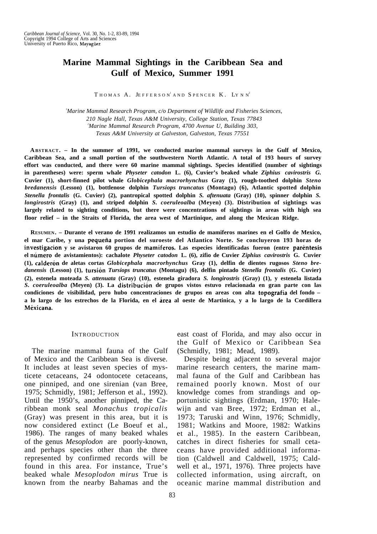# **Marine Mammal Sightings in the Caribbean Sea and Gulf of Mexico, Summer 1991**

 $T$  HOMAS  $A$ . JEFFERSON'AND SPENCER  $K$ . LYNN<sup>2</sup>

*<sup>1</sup>Marine Mammal Research Program, c/o Department of Wildlife and Fisheries Sciences, 210 Nagle Hall, Texas A&M University, College Station, Texas 77843 <sup>2</sup>Marine Mammal Research Program, 4700 Avenue U, Building 303, Texas A&M University at Galveston, Galveston, Texas 77551*

**ABSTRACT. – In the summer of 1991, we conducted marine mammal surveys in the Gulf of Mexico, Caribbean Sea, and a small portion of the southwestern North Atlantic. A total of 193 hours of survey effort was conducted, and there were 60 marine mammal sightings. Species identified (number of sightings in parentheses) were: sperm whale** *Physeter catodon* **L. (6), Cuvier's beaked whale** *Ziphius cavirostris G.* **Cuvier (1), short-finned pilot whale** *Globicephala macrorhynchus* **Gray (1), rough-toothed dolphin** *Steno bredanensis* **(Lesson) (1), bottlenose dolphin** *Tursiops truncatus* **(Montagu) (6), Atlantic spotted dolphin** *Stenella frontalis* **(G. Cuvier) (2), pantropical spotted dolphin** *S. aftenuata* **(Gray) (10), spinner dolphin** *S. longirostris* **(Gray) (1), and striped dolphin** *S. coeruleoalba* **(Meyen) (3). Distribution of sightings was largely related to sighting conditions, but there were concentrations of sightings in areas with high sea floor relief – in the Straits of Florida, the area west of Martinique, and along the Mexican Ridge.**

**RESUMEN. – Durante el verano de 1991 realizamos un estudio de mamiferos marines en el Golfo de Mexico, el mar Caribe, y una pequena portion del suroeste del Atlantico Norte. Se concluyeron 193 horas de investigacion y se avistaron 60 grupos de mamiferos. Las especies identificadas fueron (entre parentesis el numero de avistamientos): cachalote** *Physeter catodon* **L. (6), zifio de Cuvier** *Ziphius cavirostris* **G. Cuvier (1), calderon de aletas cortas** *Globicephala macrorhynchus* **Gray (1), delfin de dientes rugosos** *Steno bredanensis* **(Lesson) (1), tursion** *Tursiops truncatus* **(Montagu) (6), delfin pintado** *Stenella frontalis* **(G. Cuvier) (2), estenela moteada** *S. attenuata* **(Gray) (10), estenela giradora** *S. longirostris* **(Gray) (1), y estenela listada** *S. coeruleoalba* **(Meyen) (3). La distribucion de grupos vistos estuvo relacionada en gran parte con las condiciones de visibilidad, pero hubo concentraciones de grupos en areas con alta topografia del fondo – a lo largo de los estrechos de la Florida, en el area al oeste de Martinica, y a lo largo de la Cordillera Mexicana.**

#### **INTRODUCTION**

The marine mammal fauna of the Gulf of Mexico and the Caribbean Sea is diverse. It includes at least seven species of mysticete cetaceans, 24 odontocete cetaceans, one pinniped, and one sirenian (van Bree, 1975; Schmidly, 1981; Jefferson et al., 1992). Until the 1950's, another pinniped, the Caribbean monk seal *Monachus tropicalis* (Gray) was present in this area, but it is now considered extinct (Le Boeuf et al., 1986). The ranges of many beaked whales of the genus *Mesoplodon* are poorly-known, and perhaps species other than the three represented by confirmed records will be found in this area. For instance, True's beaked whale *Mesoplodon mirus* True is known from the nearby Bahamas and the east coast of Florida, and may also occur in the Gulf of Mexico or Caribbean Sea (Schmidly, 1981; Mead, 1989).

Despite being adjacent to several major marine research centers, the marine mammal fauna of the Gulf and Caribbean has remained poorly known. Most of our knowledge comes from strandings and opportunistic sightings (Erdman, 1970; Halewijn and van Bree, 1972; Erdman et al., 1973; Taruski and Winn, 1976; Schmidly, 1981; Watkins and Moore, 1982: Watkins et al., 1985). In the eastern Caribbean, catches in direct fisheries for small cetaceans have provided additional information (Caldwell and Caldwell, 1975; Caldwell et al., 1971, 1976). Three projects have collected information, using aircraft, on oceanic marine mammal distribution and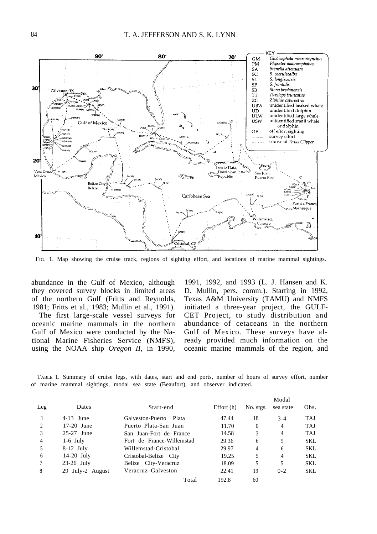

FIG. 1. Map showing the cruise track, regions of sighting effort, and locations of marine mammal sightings.

abundance in the Gulf of Mexico, although they covered survey blocks in limited areas of the northern Gulf (Fritts and Reynolds, 1981; Fritts et al., 1983; Mullin et al., 1991).

The first large-scale vessel surveys for oceanic marine mammals in the northern Gulf of Mexico were conducted by the National Marine Fisheries Service (NMFS), using the NOAA ship *Oregon II,* in 1990,

1991, 1992, and 1993 (L. J. Hansen and K. D. Mullin, pers. comm.). Starting in 1992, Texas A&M University (TAMU) and NMFS initiated a three-year project, the GULF-CET Project, to study distribution and abundance of cetaceans in the northern Gulf of Mexico. These surveys have already provided much information on the oceanic marine mammals of the region, and

TABLE 1. Summary of cruise legs, with dates, start and end ports, number of hours of survey effort, number of marine mammal sightings, modal sea state (Beaufort), and observer indicated.

|                |                  |                           |              |           | Modal     |            |
|----------------|------------------|---------------------------|--------------|-----------|-----------|------------|
| Leg            | <b>Dates</b>     | Start-end                 | Effort $(h)$ | No. stgs. | sea state | Obs.       |
|                | $4-13$ June      | Galveston-Puerto<br>Plata | 47.44        | 18        | $3 - 4$   | <b>TAJ</b> |
| 2              | $17-20$ June     | Puerto Plata-San Juan     | 11.70        | $\theta$  | 4         | <b>TAJ</b> |
| 3              | 25-27 June       | San Juan-Fort de France   | 14.58        | 3         | 4         | <b>TAJ</b> |
| $\overline{4}$ | $1-6$ July       | Fort de France-Willemstad | 29.36        | 6         | 5         | SKL        |
| 5              | $8-12$ July      | Willemstad-Cristobal      | 29.97        | 4         | 6         | SKL        |
| 6              | $14-20$ July     | Cristobal-Belize City     | 19.25        | 5         | 4         | SKL        |
| 7              | $23-26$ July     | Belize City-Veracruz      | 18.09        | 5         | 5         | SKL        |
| 8              | 29 July-2 August | Veracruz-Galveston        | 22.41        | 19        | $0 - 2$   | SKL.       |
|                |                  | Total                     | 192.8        | 60        |           |            |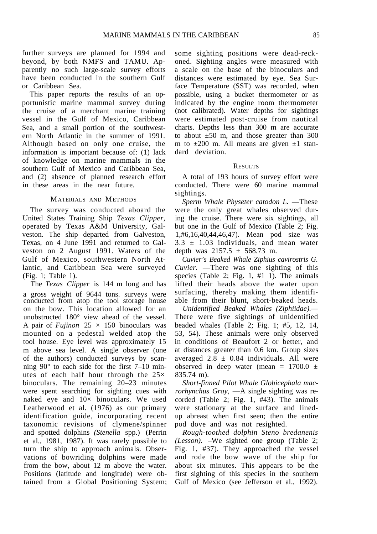further surveys are planned for 1994 and beyond, by both NMFS and TAMU. Apparently no such large-scale survey efforts have been conducted in the southern Gulf or Caribbean Sea.

This paper reports the results of an opportunistic marine mammal survey during the cruise of a merchant marine training vessel in the Gulf of Mexico, Caribbean Sea, and a small portion of the southwestern North Atlantic in the summer of 1991. Although based on only one cruise, the information is important because of: (1) lack of knowledge on marine mammals in the southern Gulf of Mexico and Caribbean Sea, and (2) absence of planned research effort in these areas in the near future.

# MATERIALS AND METHODS

The survey was conducted aboard the United States Training Ship *Texas Clipper,* operated by Texas A&M University, Galveston. The ship departed from Galveston, Texas, on 4 June 1991 and returned to Galveston on 2 August 1991. Waters of the Gulf of Mexico, southwestern North Atlantic, and Caribbean Sea were surveyed (Fig. 1; Table 1).

The *Texas Clipper* is 144 m long and has a gross weight of 9644 tons. surveys were conducted from atop the tool storage house on the bow. This location allowed for an unobstructed 180° view ahead of the vessel. A pair of *Fujinon*  $25 \times 150$  binoculars was mounted on a pedestal welded atop the tool house. Eye level was approximately 15 m above sea level. A single observer (one of the authors) conducted surveys by scanning 90° to each side for the first 7–10 minutes of each half hour through the  $25\times$ binoculars. The remaining 20–23 minutes were spent searching for sighting cues with naked eye and  $10\times$  binoculars. We used Leatherwood et al. (1976) as our primary identification guide, incorporating recent taxonomic revisions of clymene/spinner and spotted dolphins *(Stenella* spp.) (Perrin et al., 1981, 1987). It was rarely possible to turn the ship to approach animals. Observations of bowriding dolphins were made from the bow, about 12 m above the water. Positions (latitude and longitude) were obtained from a Global Positioning System;

some sighting positions were dead-reckoned. Sighting angles were measured with a scale on the base of the binoculars and distances were estimated by eye. Sea Surface Temperature (SST) was recorded, when possible, using a bucket thermometer or as indicated by the engine room thermometer (not calibrated). Water depths for sightings were estimated post-cruise from nautical charts. Depths less than 300 m are accurate to about  $\pm 50$  m, and those greater than 300 m to  $\pm 200$  m. All means are given  $\pm 1$  standard deviation.

#### RESULTS

A total of 193 hours of survey effort were conducted. There were 60 marine mammal sightings.

*Sperm Whale Physeter catodon L.* —These were the only great whales observed during the cruise. There were six sightings, all but one in the Gulf of Mexico (Table 2; Fig. 1,#6,16,40,44,46,47). Mean pod size was  $3.3 \pm 1.03$  individuals, and mean water depth was  $2157.5 \pm 568.73$  m.

*Cuvier's Beaked Whale Ziphius cavirostris G. Cuvier.* —There was one sighting of this species (Table 2; Fig. 1, #1 1). The animals lifted their heads above the water upon surfacing, thereby making them identifiable from their blunt, short-beaked heads.

*Unidentified Beaked Whales (Ziphiidae).—* There were five sightings of unidentified beaded whales (Table 2; Fig. 1; #5, 12, 14, 53, 54). These animals were only observed in conditions of Beaufort 2 or better, and at distances greater than 0.6 km. Group sizes averaged  $2.8 \pm 0.84$  individuals. All were observed in deep water (mean =  $1700.0 \pm$ 835.74 m).

*Short-finned Pilot Whale Globicephala macrorhynchus Gray,* —A single sighting was recorded (Table 2; Fig. 1, #43). The animals were stationary at the surface and linedup abreast when first seen; then the entire pod dove and was not resighted.

*Rough-toothed dolphin Steno bredanenis (Lesson).* –We sighted one group (Table 2; Fig. 1, #37). They approached the vessel and rode the bow wave of the ship for about six minutes. This appears to be the first sighting of this species in the southern Gulf of Mexico (see Jefferson et al., 1992).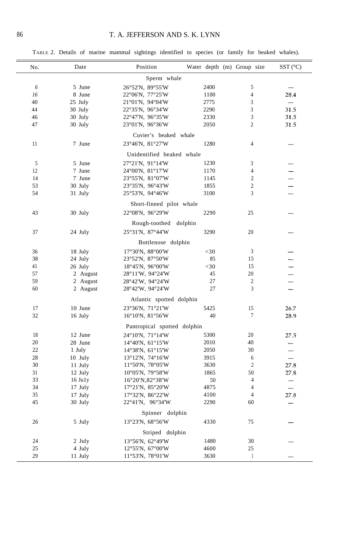TABLE 2. Details of marine mammal sightings identified to species (or family for beaked whales).

| No.                       | Date                 | Position                                              | Water depth (m) Group size |                  | $SST$ (°C)                   |  |  |  |  |  |
|---------------------------|----------------------|-------------------------------------------------------|----------------------------|------------------|------------------------------|--|--|--|--|--|
| Sperm whale               |                      |                                                       |                            |                  |                              |  |  |  |  |  |
| 6                         | 5 June               | 26°52'N, 89°55'W                                      | 2400                       | 5                |                              |  |  |  |  |  |
| 16                        | 8 June               | 22°06'N, 77°25'W                                      | 1100                       | 4                | 28.4                         |  |  |  |  |  |
| 40                        | 25 July              | $21^{\circ}01'$ N, 94 $^{\circ}04'$ W                 | 2775                       | 3                | $\overline{\phantom{a}}$     |  |  |  |  |  |
| 44                        | 30 July              | 22°35'N, 96°34'W                                      | 2290                       | 3                | 31.5                         |  |  |  |  |  |
| 46                        | 30 July              | 22°47'N, 96°35'W                                      | 2330                       | 3                | 31.5                         |  |  |  |  |  |
| 47                        | 30 July              | $23^{\circ}01^{\prime}N$ , 96°36′W                    | 2050                       | $\overline{c}$   | 31.5                         |  |  |  |  |  |
| Cuvier's beaked whale     |                      |                                                       |                            |                  |                              |  |  |  |  |  |
| 11                        | 7 June               | 23°46'N, 81°27'W                                      | 1280                       | 4                |                              |  |  |  |  |  |
| Unidentified beaked whale |                      |                                                       |                            |                  |                              |  |  |  |  |  |
| 5                         | 5 June               | 27°21'N, 91°14'W                                      | 1230                       | 3                |                              |  |  |  |  |  |
| 12                        | 7 June               | 24°00'N, 81°17'W                                      | 1170                       | 4                |                              |  |  |  |  |  |
| 14                        | 7 June               | 23°55'N, 81°07'W                                      | 1145                       | $\boldsymbol{2}$ |                              |  |  |  |  |  |
| 53                        | 30 July              | 23°35'N, 96°43'W                                      | 1855                       | $\boldsymbol{2}$ |                              |  |  |  |  |  |
| 54                        | 31 July              | 25°53'N, 94°46'W                                      | 3100                       | 3                | $\overline{\phantom{0}}$     |  |  |  |  |  |
| Short-finned pilot whale  |                      |                                                       |                            |                  |                              |  |  |  |  |  |
| 43                        | 30 July              | 22°08'N, 96°29'W                                      | 2290                       | 25               |                              |  |  |  |  |  |
|                           |                      | Rough-toothed dolphin                                 |                            |                  |                              |  |  |  |  |  |
| 37                        | 24 July              | 25°31'N, 87°44'W                                      | 3290                       | 20               |                              |  |  |  |  |  |
|                           |                      | Bottlenose dolphin                                    |                            |                  |                              |  |  |  |  |  |
|                           |                      |                                                       |                            |                  |                              |  |  |  |  |  |
| 36                        | 18 July              | $17^{\circ}30'$ N, $88^{\circ}00'$ W                  | $<$ 30                     | 3                |                              |  |  |  |  |  |
| 38                        | 24 July              | 23°52'N, 87°50'W                                      | 85                         | 15               |                              |  |  |  |  |  |
| 41                        | 26 July              | $18^{\circ}45'$ N, $96^{\circ}00'$ W                  | $<$ 30                     | 15               |                              |  |  |  |  |  |
| 57                        | 2 August             | 28°11'W, 94°24'W                                      | 45                         | 20               |                              |  |  |  |  |  |
| 59<br>60                  | 2 August<br>2 August | 28°42'W, 94°24'W                                      | 27<br>27                   | 2<br>3           | —                            |  |  |  |  |  |
|                           |                      | $28^{\circ}42^{\prime}W$ , 94 $^{\circ}24^{\prime}W$  |                            |                  |                              |  |  |  |  |  |
|                           |                      | Atlantic spotted dolphin                              |                            |                  |                              |  |  |  |  |  |
| 17                        | 10 June              | 23°36'N, 71°21'W                                      | 5425                       | 15               | 26.7                         |  |  |  |  |  |
| 32                        | 16 July              | $16^{\circ}10^{\prime}$ N, $81^{\circ}56^{\prime}$ W  | 40                         | 7                | 28.9                         |  |  |  |  |  |
|                           |                      | Pantropical spotted dolphin                           |                            |                  |                              |  |  |  |  |  |
| 18                        | 12 June              | $24^{\circ}10^{\prime}$ N, 71 $^{\circ}14^{\prime}$ W | 5300                       | 20               | 27.5                         |  |  |  |  |  |
| 20                        | 28 June              | $14^{\circ}40^{\prime}N$ , $61^{\circ}15^{\prime}W$   | 2010                       | 40               | $\overline{\phantom{a}}$     |  |  |  |  |  |
| 22                        | 1 July               | $14^{\circ}38'$ N, $61^{\circ}15'$ W                  | 2050                       | 30               |                              |  |  |  |  |  |
| 28                        | 10 July              | $13^{\circ}12'$ N, $74^{\circ}16'$ W                  | 3915                       | 6                | $\overbrace{\qquad \qquad }$ |  |  |  |  |  |
| 30                        | 11 July              | $11^{\circ}50'$ N, 78 $^{\circ}05'$ W                 | 3630                       | 2                | 27.8                         |  |  |  |  |  |
| 31                        | 12 July              | $10^{\circ}05'$ N, 79 $^{\circ}58'$ W                 | 1865                       | 50               | 27.8                         |  |  |  |  |  |
| 33                        | 16 July              | $16^{\circ}20'$ N, $82^{\circ}38'$ W                  | 50                         | 4                |                              |  |  |  |  |  |
| 34                        | 17 July              | $17^{\circ}21'$ N, $85^{\circ}20'$ W                  | 4875                       | 4                |                              |  |  |  |  |  |
| 35                        | 17 July              | $17^{\circ}32^{\prime}N$ , $86^{\circ}22^{\prime}W$   | 4100                       | 4                | 27.8                         |  |  |  |  |  |
| 45                        | 30 July              | 22°41'N, 96°34'W                                      | 2290                       | 60               |                              |  |  |  |  |  |
| Spinner dolphin           |                      |                                                       |                            |                  |                              |  |  |  |  |  |
| 26                        | 5 July               | 13°23'N, 68°56'W                                      | 4330                       | 75               |                              |  |  |  |  |  |
| Striped dolphin           |                      |                                                       |                            |                  |                              |  |  |  |  |  |
| 24                        | 2 July               | 13°56'N, 62°49'W                                      | 1480                       | 30               |                              |  |  |  |  |  |
| 25                        | 4 July               | 12°55'N, 67°00'W                                      | 4600                       | 25               |                              |  |  |  |  |  |
| 29                        | 11 July              | 11°53'N, 78°01'W                                      | 3630                       | $\mathbf{1}$     |                              |  |  |  |  |  |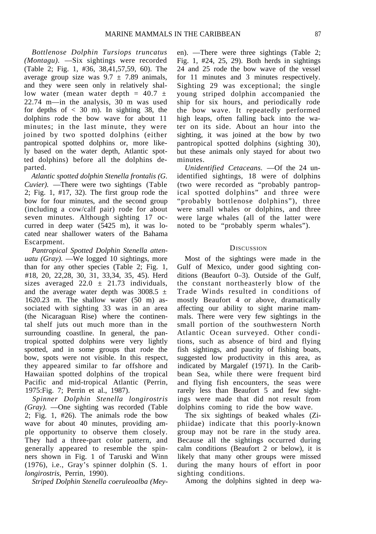*Bottlenose Dolphin Tursiops truncatus (Montagu).* —Six sightings were recorded (Table 2; Fig. 1, #36, 38,41,57,59, 60). The average group size was  $9.7 \pm 7.89$  animals, and they were seen only in relatively shallow water (mean water depth =  $40.7 \pm$ 22.74 m—in the analysis, 30 m was used for depths of  $< 30$  m). In sighting 38, the dolphins rode the bow wave for about 11 minutes; in the last minute, they were joined by two spotted dolphins (either pantropical spotted dolphins or, more likely based on the water depth, Atlantic spotted dolphins) before all the dolphins departed.

*Atlantic spotted dolphin Stenella frontalis (G. Cuvier).* —There were two sightings (Table 2; Fig. 1, #17, 32). The first group rode the bow for four minutes, and the second group (including a cow/calf pair) rode for about seven minutes. Although sighting 17 occurred in deep water (5425 m), it was located near shallower waters of the Bahama Escarpment.

*Pantropical Spotted Dolphin Stenella attenuatu (Gray).* —We logged 10 sightings, more than for any other species (Table 2; Fig. 1, #18, 20, 22,28, 30, 31, 33,34, 35, 45). Herd sizes averaged 22.0  $\pm$  21.73 individuals, and the average water depth was  $3008.5 \pm$ 1620.23 m. The shallow water (50 m) associated with sighting 33 was in an area (the Nicaraguan Rise) where the continental shelf juts out much more than in the surrounding coastline. In general, the pantropical spotted dolphins were very lightly spotted, and in some groups that rode the bow, spots were not visible. In this respect, they appeared similar to far offshore and Hawaiian spotted dolphins of the tropical Pacific and mid-tropical Atlantic (Perrin, 1975:Fig. 7; Perrin et al., 1987).

*Spinner Dolphin Stenella longirostris (Gray).* —One sighting was recorded (Table 2; Fig. 1, #26). The animals rode the bow wave for about 40 minutes, providing ample opportunity to observe them closely. They had a three-part color pattern, and generally appeared to resemble the spinners shown in Fig. 1 of Taruski and Winn (1976), i.e., Gray's spinner dolphin (S. 1. *longirostris,* Perrin, 1990).

*Striped Dolphin Stenella coeruleoalba (Mey-*

en). —There were three sightings (Table 2; Fig. 1, #24, 25, 29). Both herds in sightings 24 and 25 rode the bow wave of the vessel for 11 minutes and 3 minutes respectively. Sighting 29 was exceptional; the single young striped dolphin accompanied the ship for six hours, and periodically rode the bow wave. It repeatedly performed high leaps, often falling back into the water on its side. About an hour into the sighting, it was joined at the bow by two pantropical spotted dolphins (sighting 30), but these animals only stayed for about two minutes.

*Unidentified Cetaceans.* —Of the 24 unidentified sightings, 18 were of dolphins (two were recorded as "probably pantropical spotted dolphins" and three were "probably bottlenose dolphins"), three were small whales or dolphins, and three were large whales (all of the latter were noted to be "probably sperm whales").

## **DISCUSSION**

Most of the sightings were made in the Gulf of Mexico, under good sighting conditions (Beaufort 0–3). Outside of the Gulf, the constant northeasterly blow of the Trade Winds resulted in conditions of mostly Beaufort 4 or above, dramatically affecting our ability to sight marine mammals. There were very few sightings in the small portion of the southwestern North Atlantic Ocean surveyed. Other conditions, such as absence of bird and flying fish sightings, and paucity of fishing boats, suggested low productivity in this area, as indicated by Margalef (1971). In the Caribbean Sea, while there were frequent bird and flying fish encounters, the seas were rarely less than Beaufort 5 and few sightings were made that did not result from dolphins coming to ride the bow wave.

The six sightings of beaked whales (Ziphiidae) indicate that this poorly-known group may not be rare in the study area. Because all the sightings occurred during calm conditions (Beaufort 2 or below), it is likely that many other groups were missed during the many hours of effort in poor sighting conditions.

Among the dolphins sighted in deep wa-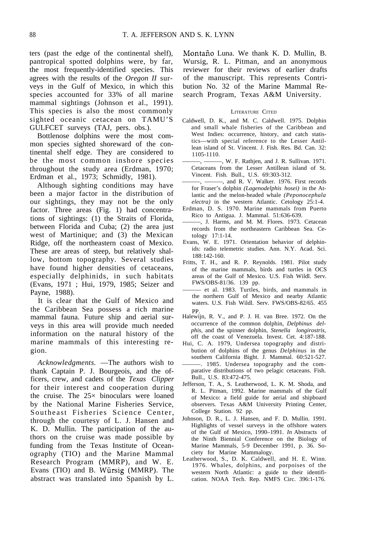ters (past the edge of the continental shelf), pantropical spotted dolphins were, by far, the most frequently-identified species. This agrees with the results of the *Oregon II* surveys in the Gulf of Mexico, in which this species accounted for 33% of all marine mammal sightings (Johnson et al., 1991). This species is also the most commonly sighted oceanic cetacean on TAMU'S GULFCET surveys (TAJ, pers. obs.).

Bottlenose dolphins were the most common species sighted shoreward of the continental shelf edge. They are considered to be the most common inshore species throughout the study area (Erdman, 1970; Erdman et al., 1973; Schmidly, 1981).

Although sighting conditions may have been a major factor in the distribution of our sightings, they may not be the only factor. Three areas (Fig. 1) had concentrations of sightings: (1) the Straits of Florida, between Florida and Cuba; (2) the area just west of Martinique; and (3) the Mexican Ridge, off the northeastern coast of Mexico. These are areas of steep, but relatively shallow, bottom topography. Several studies have found higher densities of cetaceans, especially delphinids, in such habitats (Evans, 1971 ; Hui, 1979, 1985; Seizer and Payne, 1988).

It is clear that the Gulf of Mexico and the Caribbean Sea possess a rich marine mammal fauna. Future ship and aerial surveys in this area will provide much needed information on the natural history of the marine mammals of this interesting region.

*Acknowledgments.* —The authors wish to thank Captain P. J. Bourgeois, and the officers, crew, and cadets of the *Texas Clipper* for their interest and cooperation during the cruise. The 25× binoculars were loaned by the National Marine Fisheries Service, Southeast Fisheries Science Center, through the courtesy of L. J. Hansen and K. D. Mullin. The participation of the authors on the cruise was made possible by funding from the Texas Institute of Oceanography (TIO) and the Marine Mammal Research Program (MMRP), and W. E. Evans (TIO) and B. Wursig (MMRP). The abstract was translated into Spanish by L.

Montaño Luna. We thank K. D. Mullin, B. Wursig, R. L. Pitman, and an anonymous reviewer for their reviews of earlier drafts of the manuscript. This represents Contribution No. 32 of the Marine Mammal Research Program, Texas A&M University.

## LITERATURE CITED

- Caldwell, D. K., and M. C. Caldwell. 1975. Dolphin and small whale fisheries of the Caribbean and West Indies: occurrence, history, and catch statistics—with special reference to the Lesser Antillean island of St. Vincent. J. Fish. Res. Bd. Can. 32: 1105-1110.
- -, ———, W. F. Rathjen, and J. R. Sullivan. 1971. Cetaceans from the Lesser Antillean island of St. Vincent. Fish. Bull., U.S. 69:303-312.
- $-$ ,  $-$ , and R. V. Walker. 1976. First records for Fraser's dolphin *(Lagenodelphis hosei)* in the Atlantic and the melon-headed whale *(Peponocephala electra)* in the western Atlantic. Cetology 25:1-4.
- Erdman, D. S. 1970. Marine mammals from Puerto Rico to Antigua. J. Mammal. 51:636-639.
- ———, J. Harms, and M. M. Flores. 1973. Cetacean records from the northeastern Caribbean Sea. Cetology 17:1-14.
- Evans, W. E. 1971. Orientation behavior of delphinids: radio telemetric studies. Ann. N.Y. Acad. Sci. 188:142-160.
- Fritts, T. H., and R. P. Reynolds. 1981. Pilot study of the marine mammals, birds and turtles in OCS areas of the Gulf of Mexico. U.S. Fish Wildl. Serv. FWS/OBS-81/36. 139 pp.
- ——— et al. 1983. Turtles, birds, and mammals in the northern Gulf of Mexico and nearby Atlantic waters. U.S. Fish Wildl. Serv. FWS/OBS-82/65. 455 PP.
- Halewijn, R. V., and P. J. H. van Bree. 1972. On the occurrence of the common dolphin, *Delphinus delphis,* and the spinner dolphin, *Stenella longirostris,* off the coast of Venezuela. Invest. Cet. 4:187-188.
- Hui, C. A. 1979, Undersea topography and distribution of dolphins of the genus *Delphinus* in the southern California Bight. J. Mammal. 60:521-527.
- ———. 1985. Undersea topography and the comparative distributions of two pelagic cetaceans. Fish. Bull., U.S. 83:472-475.
- Jefferson, T. A., S. Leatherwood, L. K. M. Shoda, and R. L. Pitman, 1992. Marine mammals of the Gulf of Mexico: a field guide for aerial and shipboard observers. Texas A&M University Printing Center, College Station. 92 pp.
- Johnson, D. R., L. J. Hansen, and F. D. Mullin. 1991. Highlights of vessel surveys in the offshore waters of the Gulf of Mexico, 1990–1991. *In* Abstracts of the Ninth Biennial Conference on the Biology of Marine Mammals, 5-9 December 1991, p. 36. Society for Marine Mammalogy.
- Leatherwood, S., D. K. Caldwell, and H. E. Winn. 1976. Whales, dolphins, and porpoises of the western North Atlantic: a guide to their identification. NOAA Tech. Rep. NMFS Circ. 396:1-176.